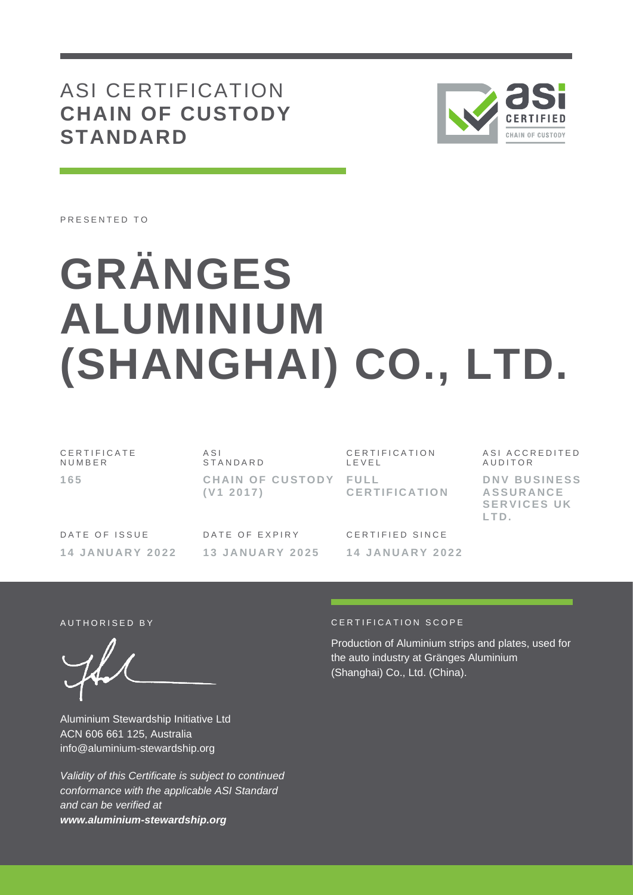ASI CERTIFICATION **CHAIN OF CUSTODY STANDARD**



PRESENTED TO

# **GRÄNGES ALUMINIUM (SHANGHAI) CO., LTD.**

C E R T I F I C A T E N U M B E R **1 6 5**

 $A S I$ S T A N D A R D **CHAIN OF CUSTODY FULL ( V1 2 0 1 7 )**

CERTIFICATION L E V E L **C E R T I F I C A T I O N**

DATE OF ISSUE **1 4 J A N U A R Y 2 0 2 2**

DATE OF EXPIRY **1 3 J A N U A R Y 202 5** CERTIFIED SINCE **1 4 J A N U A R Y 202 2** ASI ACCREDITED **AUDITOR** 

**D N V B U S I N E S S A S S U R A N C E SERVICES UK L T D .**

Aluminium Stewardship Initiative Ltd ACN 606 661 125, Australia info@aluminium-stewardship.org

*Validity of this Certificate is subject to continued conformance with the applicable ASI Standard and can be verified at www.aluminium-stewardship.org*

### A UT HORISED BY CERTIFICATION SCOPE

Production of Aluminium strips and plates, used for the auto industry at Gränges Aluminium (Shanghai) Co., Ltd. (China).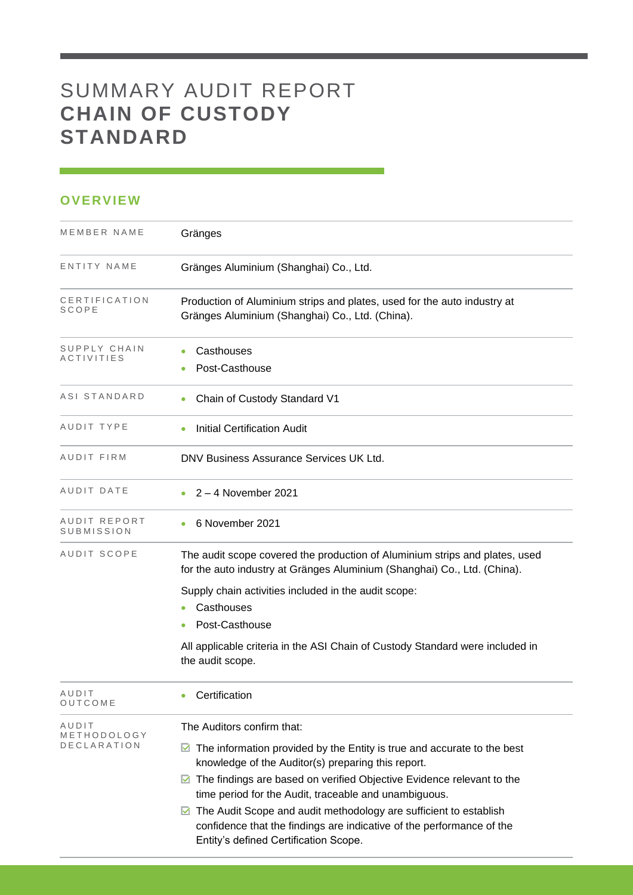## SUMMARY AUDIT REPORT **CHAIN OF CUSTODY STANDARD**

## **OVERVIEW**

| MEMBER NAME                       | Gränges                                                                                                                                                                                  |
|-----------------------------------|------------------------------------------------------------------------------------------------------------------------------------------------------------------------------------------|
| ENTITY NAME                       | Gränges Aluminium (Shanghai) Co., Ltd.                                                                                                                                                   |
| CERTIFICATION<br>SCOPE            | Production of Aluminium strips and plates, used for the auto industry at<br>Gränges Aluminium (Shanghai) Co., Ltd. (China).                                                              |
| SUPPLY CHAIN<br>ACTIVITIES        | Casthouses<br>۰<br>Post-Casthouse                                                                                                                                                        |
| ASI STANDARD                      | Chain of Custody Standard V1                                                                                                                                                             |
| AUDIT TYPE                        | <b>Initial Certification Audit</b>                                                                                                                                                       |
| AUDIT FIRM                        | DNV Business Assurance Services UK Ltd.                                                                                                                                                  |
| AUDIT DATE                        | $\bullet$ 2 – 4 November 2021                                                                                                                                                            |
| AUDIT REPORT<br>SUBMISSION        | 6 November 2021                                                                                                                                                                          |
| AUDIT SCOPE                       | The audit scope covered the production of Aluminium strips and plates, used<br>for the auto industry at Gränges Aluminium (Shanghai) Co., Ltd. (China).                                  |
|                                   | Supply chain activities included in the audit scope:                                                                                                                                     |
|                                   | Casthouses                                                                                                                                                                               |
|                                   | Post-Casthouse<br>۰<br>All applicable criteria in the ASI Chain of Custody Standard were included in<br>the audit scope.                                                                 |
| AUDIT<br>OUTCOME                  | • Certification                                                                                                                                                                          |
| AUDIT                             | The Auditors confirm that:                                                                                                                                                               |
| METHODOLOGY<br><b>DECLARATION</b> | The information provided by the Entity is true and accurate to the best<br>M<br>knowledge of the Auditor(s) preparing this report.                                                       |
|                                   | $\blacksquare$ The findings are based on verified Objective Evidence relevant to the<br>time period for the Audit, traceable and unambiguous.                                            |
|                                   | The Audit Scope and audit methodology are sufficient to establish<br>M<br>confidence that the findings are indicative of the performance of the<br>Entity's defined Certification Scope. |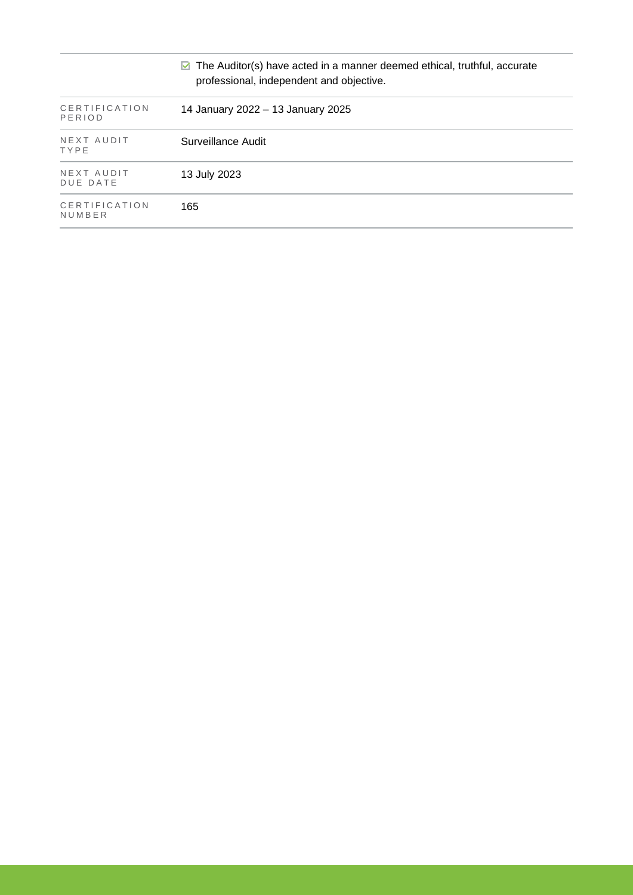|                                | $\triangleright$ The Auditor(s) have acted in a manner deemed ethical, truthful, accurate<br>professional, independent and objective. |
|--------------------------------|---------------------------------------------------------------------------------------------------------------------------------------|
| <b>CERTIFICATION</b><br>PERIOD | 14 January 2022 - 13 January 2025                                                                                                     |
| NEXT AUDIT<br>TYPE             | Surveillance Audit                                                                                                                    |
| NEXT AUDIT<br>DUE DATE         | 13 July 2023                                                                                                                          |
| CERTIFICATION<br>NUMBER        | 165                                                                                                                                   |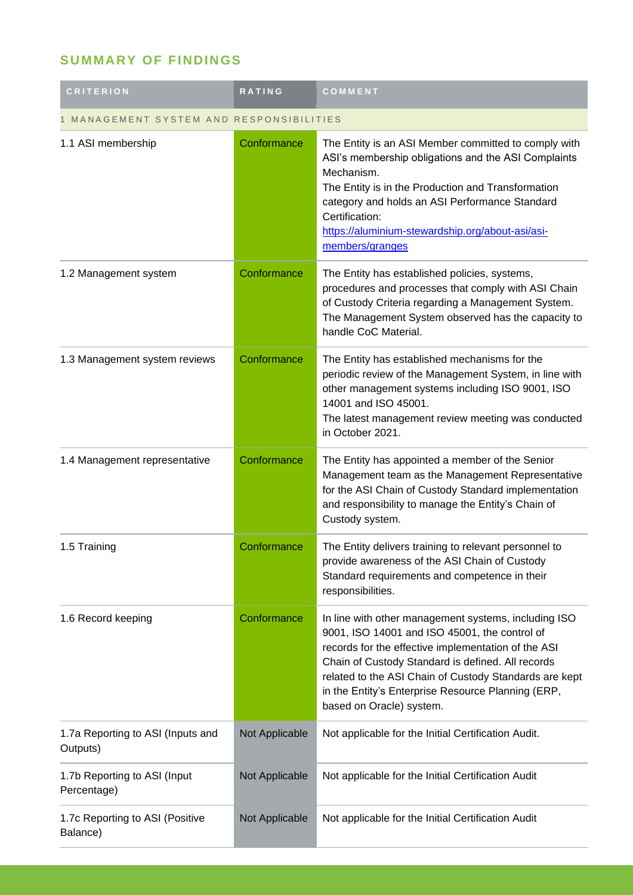## **SUMMARY OF FINDINGS**

| <b>CRITERION</b>                              | RATING         | COMMENT                                                                                                                                                                                                                                                                                                                                                       |  |
|-----------------------------------------------|----------------|---------------------------------------------------------------------------------------------------------------------------------------------------------------------------------------------------------------------------------------------------------------------------------------------------------------------------------------------------------------|--|
| MANAGEMENT SYSTEM AND RESPONSIBILITIES        |                |                                                                                                                                                                                                                                                                                                                                                               |  |
| 1.1 ASI membership                            | Conformance    | The Entity is an ASI Member committed to comply with<br>ASI's membership obligations and the ASI Complaints<br>Mechanism.<br>The Entity is in the Production and Transformation<br>category and holds an ASI Performance Standard<br>Certification:<br>https://aluminium-stewardship.org/about-asi/asi-<br>members/granges                                    |  |
| 1.2 Management system                         | Conformance    | The Entity has established policies, systems,<br>procedures and processes that comply with ASI Chain<br>of Custody Criteria regarding a Management System.<br>The Management System observed has the capacity to<br>handle CoC Material.                                                                                                                      |  |
| 1.3 Management system reviews                 | Conformance    | The Entity has established mechanisms for the<br>periodic review of the Management System, in line with<br>other management systems including ISO 9001, ISO<br>14001 and ISO 45001.<br>The latest management review meeting was conducted<br>in October 2021.                                                                                                 |  |
| 1.4 Management representative                 | Conformance    | The Entity has appointed a member of the Senior<br>Management team as the Management Representative<br>for the ASI Chain of Custody Standard implementation<br>and responsibility to manage the Entity's Chain of<br>Custody system.                                                                                                                          |  |
| 1.5 Training                                  | Conformance    | The Entity delivers training to relevant personnel to<br>provide awareness of the ASI Chain of Custody<br>Standard requirements and competence in their<br>responsibilities.                                                                                                                                                                                  |  |
| 1.6 Record keeping                            | Conformance    | In line with other management systems, including ISO<br>9001, ISO 14001 and ISO 45001, the control of<br>records for the effective implementation of the ASI<br>Chain of Custody Standard is defined. All records<br>related to the ASI Chain of Custody Standards are kept<br>in the Entity's Enterprise Resource Planning (ERP,<br>based on Oracle) system. |  |
| 1.7a Reporting to ASI (Inputs and<br>Outputs) | Not Applicable | Not applicable for the Initial Certification Audit.                                                                                                                                                                                                                                                                                                           |  |
| 1.7b Reporting to ASI (Input<br>Percentage)   | Not Applicable | Not applicable for the Initial Certification Audit                                                                                                                                                                                                                                                                                                            |  |
| 1.7c Reporting to ASI (Positive<br>Balance)   | Not Applicable | Not applicable for the Initial Certification Audit                                                                                                                                                                                                                                                                                                            |  |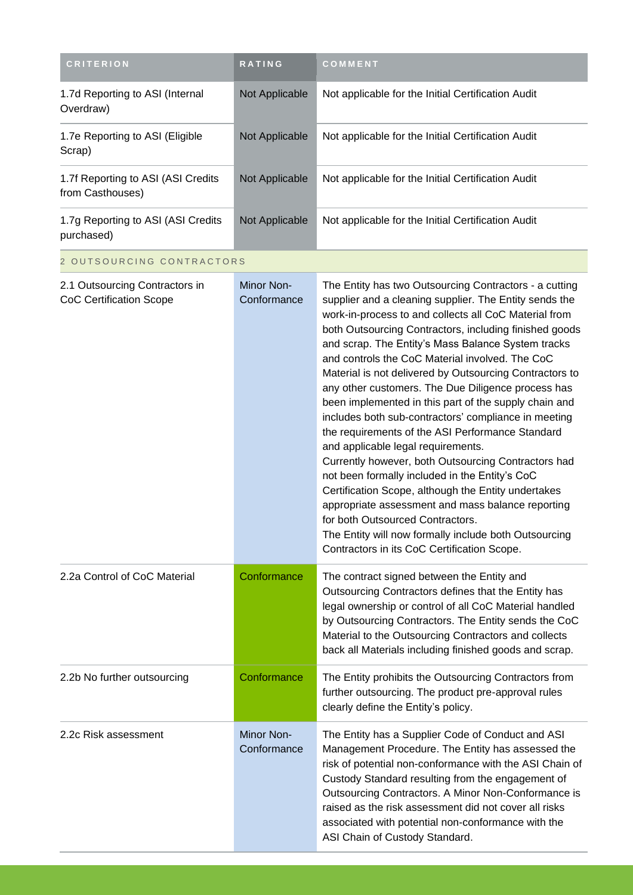| <b>CRITERION</b>                                                 | RATING                           | COMMENT                                                                                                                                                                                                                                                                                                                                                                                                                                                                                                                                                                                                                                                                                                                                                                                                                                                                                                                                                                                                                                   |
|------------------------------------------------------------------|----------------------------------|-------------------------------------------------------------------------------------------------------------------------------------------------------------------------------------------------------------------------------------------------------------------------------------------------------------------------------------------------------------------------------------------------------------------------------------------------------------------------------------------------------------------------------------------------------------------------------------------------------------------------------------------------------------------------------------------------------------------------------------------------------------------------------------------------------------------------------------------------------------------------------------------------------------------------------------------------------------------------------------------------------------------------------------------|
| 1.7d Reporting to ASI (Internal<br>Overdraw)                     | Not Applicable                   | Not applicable for the Initial Certification Audit                                                                                                                                                                                                                                                                                                                                                                                                                                                                                                                                                                                                                                                                                                                                                                                                                                                                                                                                                                                        |
| 1.7e Reporting to ASI (Eligible<br>Scrap)                        | Not Applicable                   | Not applicable for the Initial Certification Audit                                                                                                                                                                                                                                                                                                                                                                                                                                                                                                                                                                                                                                                                                                                                                                                                                                                                                                                                                                                        |
| 1.7f Reporting to ASI (ASI Credits<br>from Casthouses)           | Not Applicable                   | Not applicable for the Initial Certification Audit                                                                                                                                                                                                                                                                                                                                                                                                                                                                                                                                                                                                                                                                                                                                                                                                                                                                                                                                                                                        |
| 1.7g Reporting to ASI (ASI Credits<br>purchased)                 | Not Applicable                   | Not applicable for the Initial Certification Audit                                                                                                                                                                                                                                                                                                                                                                                                                                                                                                                                                                                                                                                                                                                                                                                                                                                                                                                                                                                        |
| 2 OUTSOURCING CONTRACTORS                                        |                                  |                                                                                                                                                                                                                                                                                                                                                                                                                                                                                                                                                                                                                                                                                                                                                                                                                                                                                                                                                                                                                                           |
| 2.1 Outsourcing Contractors in<br><b>CoC Certification Scope</b> | <b>Minor Non-</b><br>Conformance | The Entity has two Outsourcing Contractors - a cutting<br>supplier and a cleaning supplier. The Entity sends the<br>work-in-process to and collects all CoC Material from<br>both Outsourcing Contractors, including finished goods<br>and scrap. The Entity's Mass Balance System tracks<br>and controls the CoC Material involved. The CoC<br>Material is not delivered by Outsourcing Contractors to<br>any other customers. The Due Diligence process has<br>been implemented in this part of the supply chain and<br>includes both sub-contractors' compliance in meeting<br>the requirements of the ASI Performance Standard<br>and applicable legal requirements.<br>Currently however, both Outsourcing Contractors had<br>not been formally included in the Entity's CoC<br>Certification Scope, although the Entity undertakes<br>appropriate assessment and mass balance reporting<br>for both Outsourced Contractors.<br>The Entity will now formally include both Outsourcing<br>Contractors in its CoC Certification Scope. |
| 2.2a Control of CoC Material                                     | Conformance                      | The contract signed between the Entity and<br>Outsourcing Contractors defines that the Entity has<br>legal ownership or control of all CoC Material handled<br>by Outsourcing Contractors. The Entity sends the CoC<br>Material to the Outsourcing Contractors and collects<br>back all Materials including finished goods and scrap.                                                                                                                                                                                                                                                                                                                                                                                                                                                                                                                                                                                                                                                                                                     |
| 2.2b No further outsourcing                                      | Conformance                      | The Entity prohibits the Outsourcing Contractors from<br>further outsourcing. The product pre-approval rules<br>clearly define the Entity's policy.                                                                                                                                                                                                                                                                                                                                                                                                                                                                                                                                                                                                                                                                                                                                                                                                                                                                                       |
| 2.2c Risk assessment                                             | <b>Minor Non-</b><br>Conformance | The Entity has a Supplier Code of Conduct and ASI<br>Management Procedure. The Entity has assessed the<br>risk of potential non-conformance with the ASI Chain of<br>Custody Standard resulting from the engagement of<br>Outsourcing Contractors. A Minor Non-Conformance is<br>raised as the risk assessment did not cover all risks<br>associated with potential non-conformance with the<br>ASI Chain of Custody Standard.                                                                                                                                                                                                                                                                                                                                                                                                                                                                                                                                                                                                            |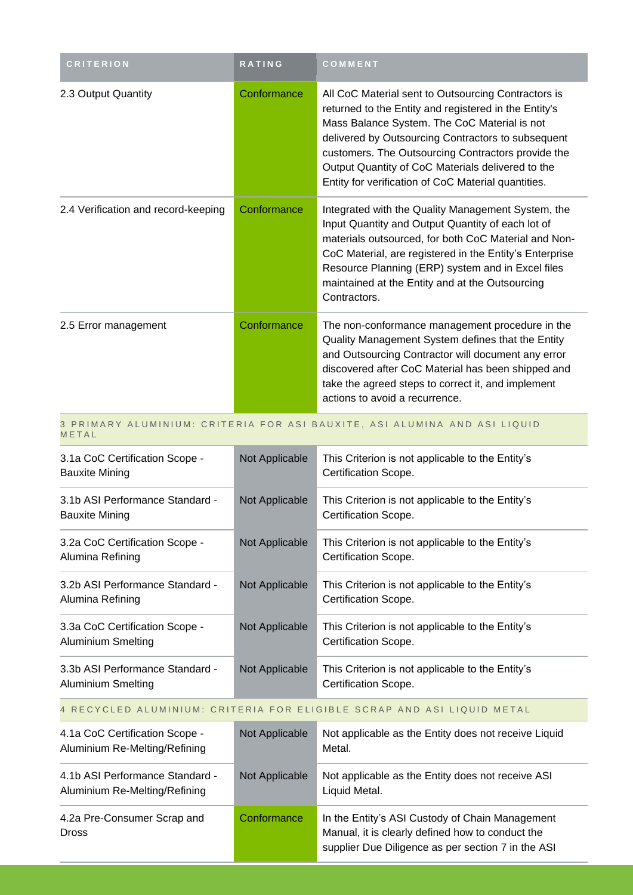| <b>CRITERION</b>                    | <b>RATING</b> | COMMENT                                                                                                                                                                                                                                                                                                                                                                              |
|-------------------------------------|---------------|--------------------------------------------------------------------------------------------------------------------------------------------------------------------------------------------------------------------------------------------------------------------------------------------------------------------------------------------------------------------------------------|
| 2.3 Output Quantity                 | Conformance   | All CoC Material sent to Outsourcing Contractors is<br>returned to the Entity and registered in the Entity's<br>Mass Balance System. The CoC Material is not<br>delivered by Outsourcing Contractors to subsequent<br>customers. The Outsourcing Contractors provide the<br>Output Quantity of CoC Materials delivered to the<br>Entity for verification of CoC Material quantities. |
| 2.4 Verification and record-keeping | Conformance   | Integrated with the Quality Management System, the<br>Input Quantity and Output Quantity of each lot of<br>materials outsourced, for both CoC Material and Non-<br>CoC Material, are registered in the Entity's Enterprise<br>Resource Planning (ERP) system and in Excel files<br>maintained at the Entity and at the Outsourcing<br>Contractors.                                   |
| 2.5 Error management                | Conformance   | The non-conformance management procedure in the<br>Quality Management System defines that the Entity<br>and Outsourcing Contractor will document any error<br>discovered after CoC Material has been shipped and<br>take the agreed steps to correct it, and implement<br>actions to avoid a recurrence.                                                                             |

#### 3 PRIMARY ALUMINIUM: CRITERIA FOR ASI BAUXITE, ASI ALUMINA AND ASI LIQUID **METAL**

| 3.1a CoC Certification Scope -<br><b>Bauxite Mining</b>     | Not Applicable | This Criterion is not applicable to the Entity's<br>Certification Scope. |
|-------------------------------------------------------------|----------------|--------------------------------------------------------------------------|
| 3.1b ASI Performance Standard -<br><b>Bauxite Mining</b>    | Not Applicable | This Criterion is not applicable to the Entity's<br>Certification Scope. |
| 3.2a CoC Certification Scope -<br>Alumina Refining          | Not Applicable | This Criterion is not applicable to the Entity's<br>Certification Scope. |
| 3.2b ASI Performance Standard -<br>Alumina Refining         | Not Applicable | This Criterion is not applicable to the Entity's<br>Certification Scope. |
| 3.3a CoC Certification Scope -<br><b>Aluminium Smelting</b> | Not Applicable | This Criterion is not applicable to the Entity's<br>Certification Scope. |
| 3.3b ASI Performance Standard -<br>Aluminium Smelting       | Not Applicable | This Criterion is not applicable to the Entity's<br>Certification Scope. |

#### 4 RECYCLED ALUMINIUM: CRITERIA FOR ELIGIBLE SCRAP AND ASI LIQUID METAL

| 4.1a CoC Certification Scope -<br>Aluminium Re-Melting/Refining  | Not Applicable | Not applicable as the Entity does not receive Liquid<br>Metal.                                                                                            |
|------------------------------------------------------------------|----------------|-----------------------------------------------------------------------------------------------------------------------------------------------------------|
| 4.1b ASI Performance Standard -<br>Aluminium Re-Melting/Refining | Not Applicable | Not applicable as the Entity does not receive ASI<br>Liquid Metal.                                                                                        |
| 4.2a Pre-Consumer Scrap and<br><b>Dross</b>                      | Conformance    | In the Entity's ASI Custody of Chain Management<br>Manual, it is clearly defined how to conduct the<br>supplier Due Diligence as per section 7 in the ASI |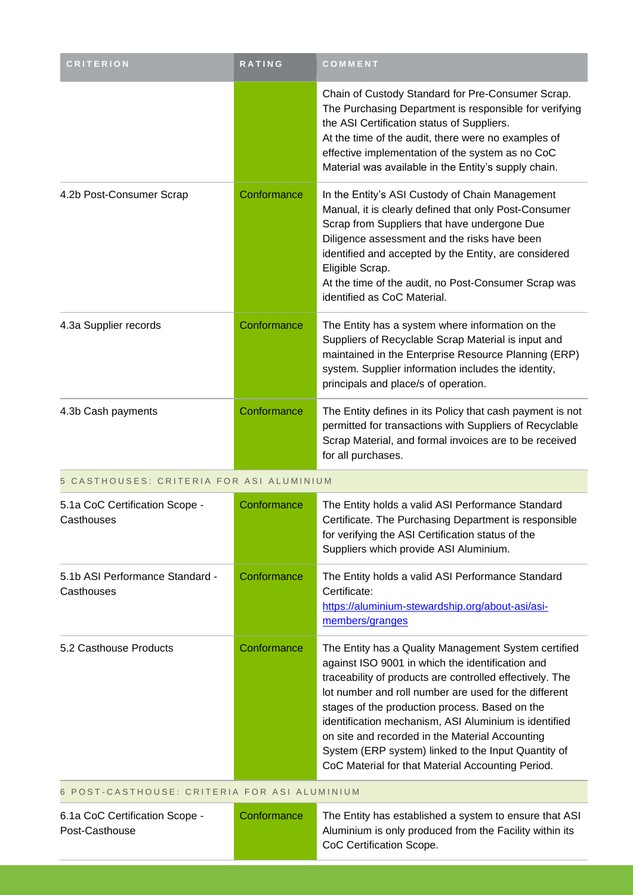| <b>CRITERION</b>                                 | <b>RATING</b> | COMMENT                                                                                                                                                                                                                                                                                                                                                                                                                                                                                                 |  |
|--------------------------------------------------|---------------|---------------------------------------------------------------------------------------------------------------------------------------------------------------------------------------------------------------------------------------------------------------------------------------------------------------------------------------------------------------------------------------------------------------------------------------------------------------------------------------------------------|--|
|                                                  |               | Chain of Custody Standard for Pre-Consumer Scrap.<br>The Purchasing Department is responsible for verifying<br>the ASI Certification status of Suppliers.<br>At the time of the audit, there were no examples of<br>effective implementation of the system as no CoC<br>Material was available in the Entity's supply chain.                                                                                                                                                                            |  |
| 4.2b Post-Consumer Scrap                         | Conformance   | In the Entity's ASI Custody of Chain Management<br>Manual, it is clearly defined that only Post-Consumer<br>Scrap from Suppliers that have undergone Due<br>Diligence assessment and the risks have been<br>identified and accepted by the Entity, are considered<br>Eligible Scrap.<br>At the time of the audit, no Post-Consumer Scrap was<br>identified as CoC Material.                                                                                                                             |  |
| 4.3a Supplier records                            | Conformance   | The Entity has a system where information on the<br>Suppliers of Recyclable Scrap Material is input and<br>maintained in the Enterprise Resource Planning (ERP)<br>system. Supplier information includes the identity,<br>principals and place/s of operation.                                                                                                                                                                                                                                          |  |
| 4.3b Cash payments                               | Conformance   | The Entity defines in its Policy that cash payment is not<br>permitted for transactions with Suppliers of Recyclable<br>Scrap Material, and formal invoices are to be received<br>for all purchases.                                                                                                                                                                                                                                                                                                    |  |
| 5 CASTHOUSES: CRITERIA FOR ASI ALUMINIUM         |               |                                                                                                                                                                                                                                                                                                                                                                                                                                                                                                         |  |
| 5.1a CoC Certification Scope -<br>Casthouses     | Conformance   | The Entity holds a valid ASI Performance Standard<br>Certificate. The Purchasing Department is responsible<br>for verifying the ASI Certification status of the<br>Suppliers which provide ASI Aluminium.                                                                                                                                                                                                                                                                                               |  |
| 5.1b ASI Performance Standard -<br>Casthouses    | Conformance   | The Entity holds a valid ASI Performance Standard<br>Certificate:<br>https://aluminium-stewardship.org/about-asi/asi-<br>members/granges                                                                                                                                                                                                                                                                                                                                                                |  |
| 5.2 Casthouse Products                           | Conformance   | The Entity has a Quality Management System certified<br>against ISO 9001 in which the identification and<br>traceability of products are controlled effectively. The<br>lot number and roll number are used for the different<br>stages of the production process. Based on the<br>identification mechanism, ASI Aluminium is identified<br>on site and recorded in the Material Accounting<br>System (ERP system) linked to the Input Quantity of<br>CoC Material for that Material Accounting Period. |  |
| 6 POST-CASTHOUSE: CRITERIA FOR ASI ALUMINIUM     |               |                                                                                                                                                                                                                                                                                                                                                                                                                                                                                                         |  |
| 6.1a CoC Certification Scope -<br>Post-Casthouse | Conformance   | The Entity has established a system to ensure that ASI<br>Aluminium is only produced from the Facility within its<br>CoC Certification Scope.                                                                                                                                                                                                                                                                                                                                                           |  |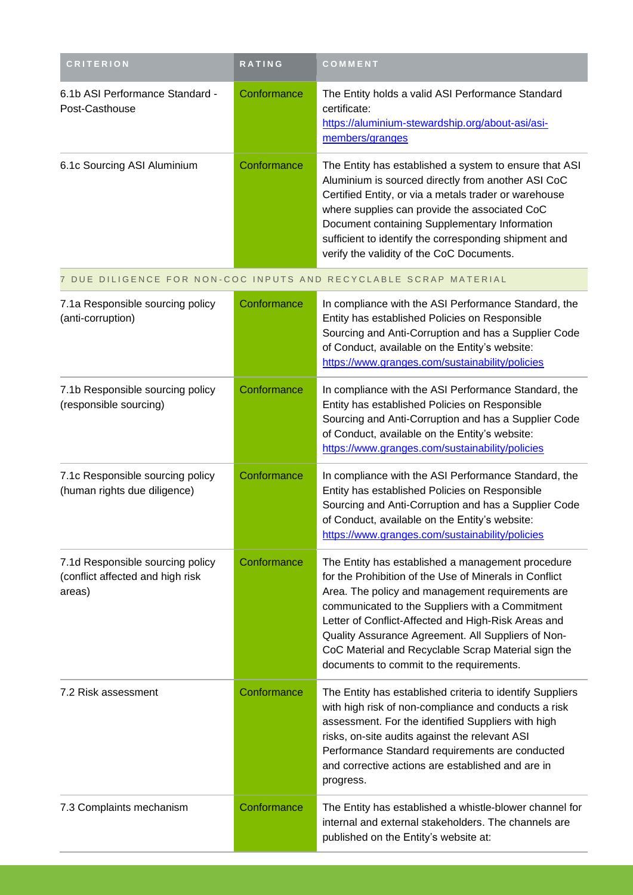| <b>CRITERION</b>                                                               | <b>RATING</b> | <b>COMMENT</b>                                                                                                                                                                                                                                                                                                                                                                                                                     |
|--------------------------------------------------------------------------------|---------------|------------------------------------------------------------------------------------------------------------------------------------------------------------------------------------------------------------------------------------------------------------------------------------------------------------------------------------------------------------------------------------------------------------------------------------|
| 6.1b ASI Performance Standard -<br>Post-Casthouse                              | Conformance   | The Entity holds a valid ASI Performance Standard<br>certificate:<br>https://aluminium-stewardship.org/about-asi/asi-<br>members/granges                                                                                                                                                                                                                                                                                           |
| 6.1c Sourcing ASI Aluminium                                                    | Conformance   | The Entity has established a system to ensure that ASI<br>Aluminium is sourced directly from another ASI CoC<br>Certified Entity, or via a metals trader or warehouse<br>where supplies can provide the associated CoC<br>Document containing Supplementary Information<br>sufficient to identify the corresponding shipment and<br>verify the validity of the CoC Documents.                                                      |
|                                                                                |               | 7 DUE DILIGENCE FOR NON-COC INPUTS AND RECYCLABLE SCRAP MATERIAL                                                                                                                                                                                                                                                                                                                                                                   |
| 7.1a Responsible sourcing policy<br>(anti-corruption)                          | Conformance   | In compliance with the ASI Performance Standard, the<br>Entity has established Policies on Responsible<br>Sourcing and Anti-Corruption and has a Supplier Code<br>of Conduct, available on the Entity's website:<br>https://www.granges.com/sustainability/policies                                                                                                                                                                |
| 7.1b Responsible sourcing policy<br>(responsible sourcing)                     | Conformance   | In compliance with the ASI Performance Standard, the<br>Entity has established Policies on Responsible<br>Sourcing and Anti-Corruption and has a Supplier Code<br>of Conduct, available on the Entity's website:<br>https://www.granges.com/sustainability/policies                                                                                                                                                                |
| 7.1c Responsible sourcing policy<br>(human rights due diligence)               | Conformance   | In compliance with the ASI Performance Standard, the<br>Entity has established Policies on Responsible<br>Sourcing and Anti-Corruption and has a Supplier Code<br>of Conduct, available on the Entity's website:<br>https://www.granges.com/sustainability/policies                                                                                                                                                                |
| 7.1d Responsible sourcing policy<br>(conflict affected and high risk<br>areas) | Conformance   | The Entity has established a management procedure<br>for the Prohibition of the Use of Minerals in Conflict<br>Area. The policy and management requirements are<br>communicated to the Suppliers with a Commitment<br>Letter of Conflict-Affected and High-Risk Areas and<br>Quality Assurance Agreement. All Suppliers of Non-<br>CoC Material and Recyclable Scrap Material sign the<br>documents to commit to the requirements. |
| 7.2 Risk assessment                                                            | Conformance   | The Entity has established criteria to identify Suppliers<br>with high risk of non-compliance and conducts a risk<br>assessment. For the identified Suppliers with high<br>risks, on-site audits against the relevant ASI<br>Performance Standard requirements are conducted<br>and corrective actions are established and are in<br>progress.                                                                                     |
| 7.3 Complaints mechanism                                                       | Conformance   | The Entity has established a whistle-blower channel for<br>internal and external stakeholders. The channels are<br>published on the Entity's website at:                                                                                                                                                                                                                                                                           |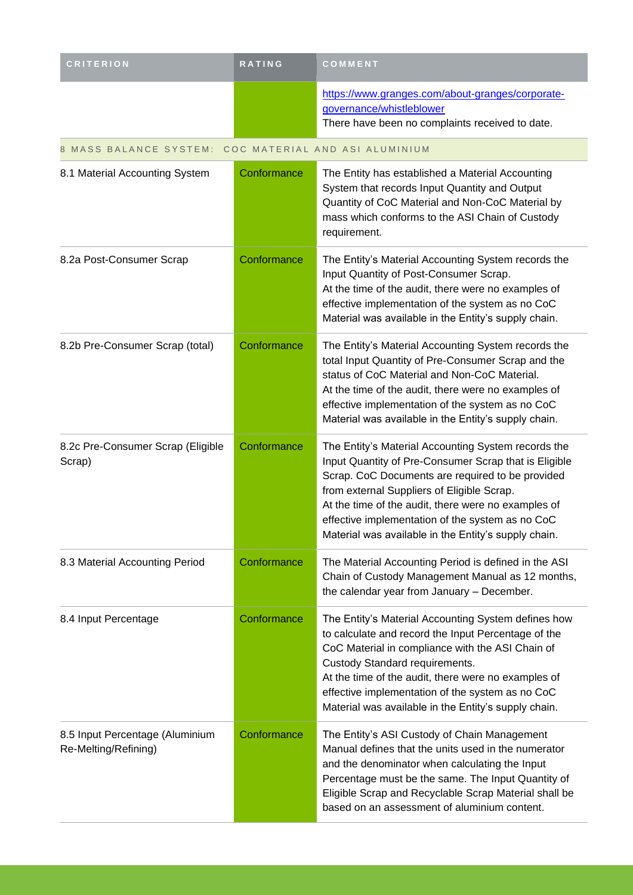| <b>CRITERION</b>                                        | <b>RATING</b> | COMMENT                                                                                                                                                                                                                                                                                                                                                                           |
|---------------------------------------------------------|---------------|-----------------------------------------------------------------------------------------------------------------------------------------------------------------------------------------------------------------------------------------------------------------------------------------------------------------------------------------------------------------------------------|
|                                                         |               | https://www.granges.com/about-granges/corporate-<br>governance/whistleblower<br>There have been no complaints received to date.                                                                                                                                                                                                                                                   |
| 8 MASS BALANCE SYSTEM:                                  |               | COC MATERIAL AND ASI ALUMINIUM                                                                                                                                                                                                                                                                                                                                                    |
| 8.1 Material Accounting System                          | Conformance   | The Entity has established a Material Accounting<br>System that records Input Quantity and Output<br>Quantity of CoC Material and Non-CoC Material by<br>mass which conforms to the ASI Chain of Custody<br>requirement.                                                                                                                                                          |
| 8.2a Post-Consumer Scrap                                | Conformance   | The Entity's Material Accounting System records the<br>Input Quantity of Post-Consumer Scrap.<br>At the time of the audit, there were no examples of<br>effective implementation of the system as no CoC<br>Material was available in the Entity's supply chain.                                                                                                                  |
| 8.2b Pre-Consumer Scrap (total)                         | Conformance   | The Entity's Material Accounting System records the<br>total Input Quantity of Pre-Consumer Scrap and the<br>status of CoC Material and Non-CoC Material.<br>At the time of the audit, there were no examples of<br>effective implementation of the system as no CoC<br>Material was available in the Entity's supply chain.                                                      |
| 8.2c Pre-Consumer Scrap (Eligible<br>Scrap)             | Conformance   | The Entity's Material Accounting System records the<br>Input Quantity of Pre-Consumer Scrap that is Eligible<br>Scrap. CoC Documents are required to be provided<br>from external Suppliers of Eligible Scrap.<br>At the time of the audit, there were no examples of<br>effective implementation of the system as no CoC<br>Material was available in the Entity's supply chain. |
| 8.3 Material Accounting Period                          | Conformance   | The Material Accounting Period is defined in the ASI<br>Chain of Custody Management Manual as 12 months,<br>the calendar year from January - December.                                                                                                                                                                                                                            |
| 8.4 Input Percentage                                    | Conformance   | The Entity's Material Accounting System defines how<br>to calculate and record the Input Percentage of the<br>CoC Material in compliance with the ASI Chain of<br>Custody Standard requirements.<br>At the time of the audit, there were no examples of<br>effective implementation of the system as no CoC<br>Material was available in the Entity's supply chain.               |
| 8.5 Input Percentage (Aluminium<br>Re-Melting/Refining) | Conformance   | The Entity's ASI Custody of Chain Management<br>Manual defines that the units used in the numerator<br>and the denominator when calculating the Input<br>Percentage must be the same. The Input Quantity of<br>Eligible Scrap and Recyclable Scrap Material shall be<br>based on an assessment of aluminium content.                                                              |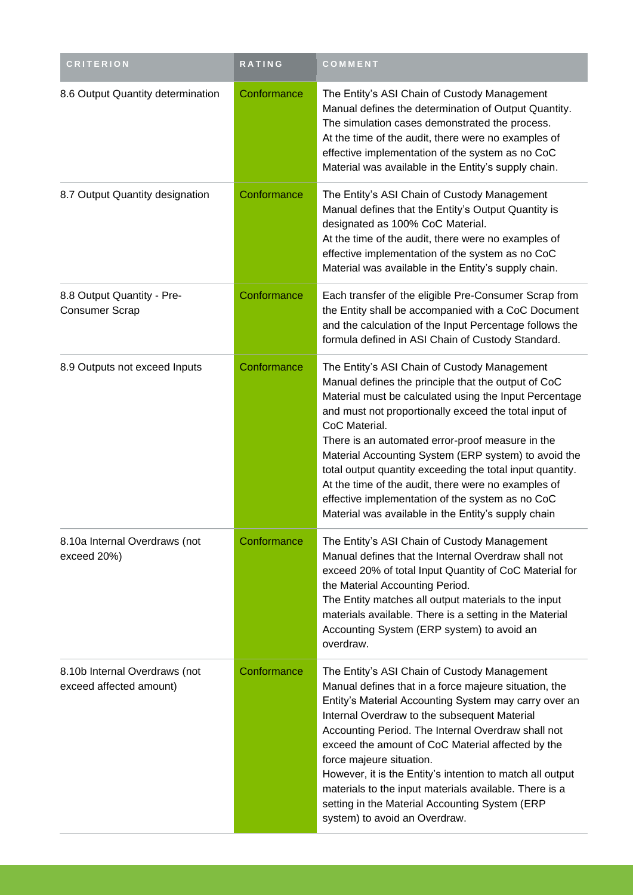| <b>CRITERION</b>                                         | <b>RATING</b> | COMMENT                                                                                                                                                                                                                                                                                                                                                                                                                                                                                                                                                                            |
|----------------------------------------------------------|---------------|------------------------------------------------------------------------------------------------------------------------------------------------------------------------------------------------------------------------------------------------------------------------------------------------------------------------------------------------------------------------------------------------------------------------------------------------------------------------------------------------------------------------------------------------------------------------------------|
| 8.6 Output Quantity determination                        | Conformance   | The Entity's ASI Chain of Custody Management<br>Manual defines the determination of Output Quantity.<br>The simulation cases demonstrated the process.<br>At the time of the audit, there were no examples of<br>effective implementation of the system as no CoC<br>Material was available in the Entity's supply chain.                                                                                                                                                                                                                                                          |
| 8.7 Output Quantity designation                          | Conformance   | The Entity's ASI Chain of Custody Management<br>Manual defines that the Entity's Output Quantity is<br>designated as 100% CoC Material.<br>At the time of the audit, there were no examples of<br>effective implementation of the system as no CoC<br>Material was available in the Entity's supply chain.                                                                                                                                                                                                                                                                         |
| 8.8 Output Quantity - Pre-<br><b>Consumer Scrap</b>      | Conformance   | Each transfer of the eligible Pre-Consumer Scrap from<br>the Entity shall be accompanied with a CoC Document<br>and the calculation of the Input Percentage follows the<br>formula defined in ASI Chain of Custody Standard.                                                                                                                                                                                                                                                                                                                                                       |
| 8.9 Outputs not exceed Inputs                            | Conformance   | The Entity's ASI Chain of Custody Management<br>Manual defines the principle that the output of CoC<br>Material must be calculated using the Input Percentage<br>and must not proportionally exceed the total input of<br>CoC Material.<br>There is an automated error-proof measure in the<br>Material Accounting System (ERP system) to avoid the<br>total output quantity exceeding the total input quantity.<br>At the time of the audit, there were no examples of<br>effective implementation of the system as no CoC<br>Material was available in the Entity's supply chain |
| 8.10a Internal Overdraws (not<br>exceed 20%)             | Conformance   | The Entity's ASI Chain of Custody Management<br>Manual defines that the Internal Overdraw shall not<br>exceed 20% of total Input Quantity of CoC Material for<br>the Material Accounting Period.<br>The Entity matches all output materials to the input<br>materials available. There is a setting in the Material<br>Accounting System (ERP system) to avoid an<br>overdraw.                                                                                                                                                                                                     |
| 8.10b Internal Overdraws (not<br>exceed affected amount) | Conformance   | The Entity's ASI Chain of Custody Management<br>Manual defines that in a force majeure situation, the<br>Entity's Material Accounting System may carry over an<br>Internal Overdraw to the subsequent Material<br>Accounting Period. The Internal Overdraw shall not<br>exceed the amount of CoC Material affected by the<br>force majeure situation.<br>However, it is the Entity's intention to match all output<br>materials to the input materials available. There is a<br>setting in the Material Accounting System (ERP<br>system) to avoid an Overdraw.                    |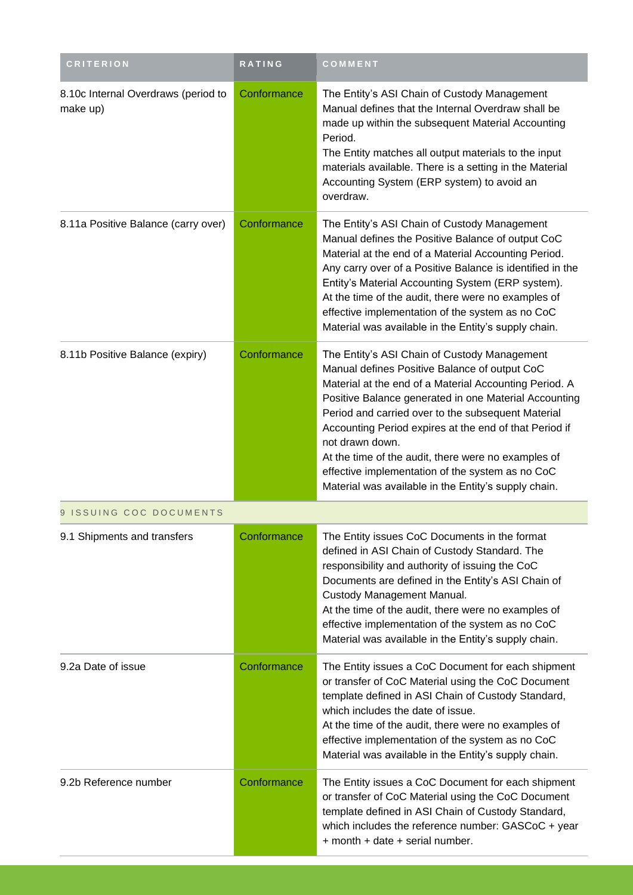| <b>CRITERION</b>                                | RATING      | COMMENT                                                                                                                                                                                                                                                                                                                                                                                                                                                                                                                |  |
|-------------------------------------------------|-------------|------------------------------------------------------------------------------------------------------------------------------------------------------------------------------------------------------------------------------------------------------------------------------------------------------------------------------------------------------------------------------------------------------------------------------------------------------------------------------------------------------------------------|--|
| 8.10c Internal Overdraws (period to<br>make up) | Conformance | The Entity's ASI Chain of Custody Management<br>Manual defines that the Internal Overdraw shall be<br>made up within the subsequent Material Accounting<br>Period.<br>The Entity matches all output materials to the input<br>materials available. There is a setting in the Material<br>Accounting System (ERP system) to avoid an<br>overdraw.                                                                                                                                                                       |  |
| 8.11a Positive Balance (carry over)             | Conformance | The Entity's ASI Chain of Custody Management<br>Manual defines the Positive Balance of output CoC<br>Material at the end of a Material Accounting Period.<br>Any carry over of a Positive Balance is identified in the<br>Entity's Material Accounting System (ERP system).<br>At the time of the audit, there were no examples of<br>effective implementation of the system as no CoC<br>Material was available in the Entity's supply chain.                                                                         |  |
| 8.11b Positive Balance (expiry)                 | Conformance | The Entity's ASI Chain of Custody Management<br>Manual defines Positive Balance of output CoC<br>Material at the end of a Material Accounting Period. A<br>Positive Balance generated in one Material Accounting<br>Period and carried over to the subsequent Material<br>Accounting Period expires at the end of that Period if<br>not drawn down.<br>At the time of the audit, there were no examples of<br>effective implementation of the system as no CoC<br>Material was available in the Entity's supply chain. |  |
| 9 ISSUING COC DOCUMENTS                         |             |                                                                                                                                                                                                                                                                                                                                                                                                                                                                                                                        |  |
| 9.1 Shipments and transfers                     | Conformance | The Entity issues CoC Documents in the format<br>defined in ASI Chain of Custody Standard. The<br>responsibility and authority of issuing the CoC<br>Documents are defined in the Entity's ASI Chain of<br>Custody Management Manual.<br>At the time of the audit, there were no examples of<br>effective implementation of the system as no CoC<br>Material was available in the Entity's supply chain.                                                                                                               |  |
| 9.2a Date of issue                              | Conformance | The Entity issues a CoC Document for each shipment<br>or transfer of CoC Material using the CoC Document<br>template defined in ASI Chain of Custody Standard,<br>which includes the date of issue.<br>At the time of the audit, there were no examples of<br>effective implementation of the system as no CoC<br>Material was available in the Entity's supply chain.                                                                                                                                                 |  |
| 9.2b Reference number                           | Conformance | The Entity issues a CoC Document for each shipment<br>or transfer of CoC Material using the CoC Document<br>template defined in ASI Chain of Custody Standard,<br>which includes the reference number: GASCoC + year<br>+ month + date + serial number.                                                                                                                                                                                                                                                                |  |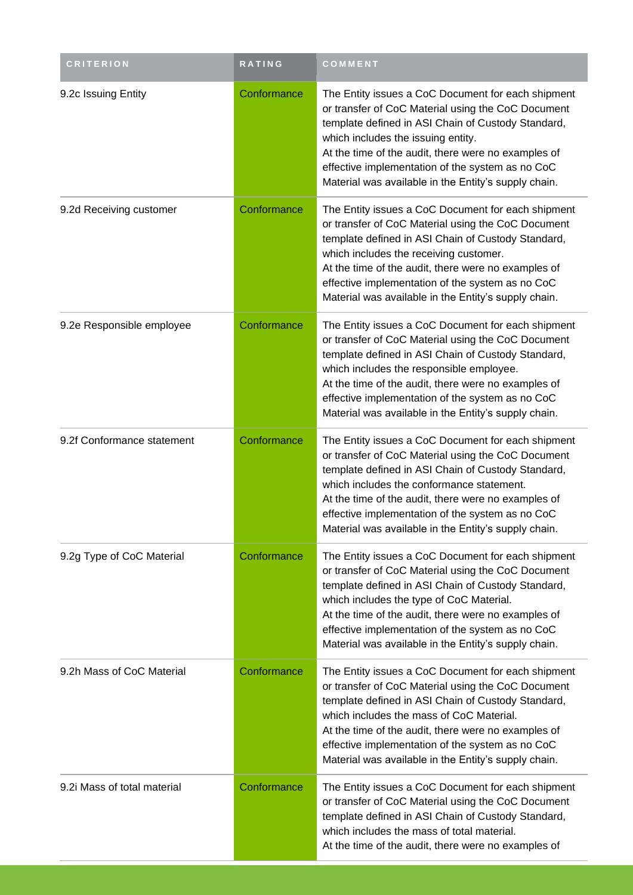| <b>CRITERION</b>            | RATING      | COMMENT                                                                                                                                                                                                                                                                                                                                                                        |
|-----------------------------|-------------|--------------------------------------------------------------------------------------------------------------------------------------------------------------------------------------------------------------------------------------------------------------------------------------------------------------------------------------------------------------------------------|
| 9.2c Issuing Entity         | Conformance | The Entity issues a CoC Document for each shipment<br>or transfer of CoC Material using the CoC Document<br>template defined in ASI Chain of Custody Standard,<br>which includes the issuing entity.<br>At the time of the audit, there were no examples of<br>effective implementation of the system as no CoC<br>Material was available in the Entity's supply chain.        |
| 9.2d Receiving customer     | Conformance | The Entity issues a CoC Document for each shipment<br>or transfer of CoC Material using the CoC Document<br>template defined in ASI Chain of Custody Standard,<br>which includes the receiving customer.<br>At the time of the audit, there were no examples of<br>effective implementation of the system as no CoC<br>Material was available in the Entity's supply chain.    |
| 9.2e Responsible employee   | Conformance | The Entity issues a CoC Document for each shipment<br>or transfer of CoC Material using the CoC Document<br>template defined in ASI Chain of Custody Standard,<br>which includes the responsible employee.<br>At the time of the audit, there were no examples of<br>effective implementation of the system as no CoC<br>Material was available in the Entity's supply chain.  |
| 9.2f Conformance statement  | Conformance | The Entity issues a CoC Document for each shipment<br>or transfer of CoC Material using the CoC Document<br>template defined in ASI Chain of Custody Standard,<br>which includes the conformance statement.<br>At the time of the audit, there were no examples of<br>effective implementation of the system as no CoC<br>Material was available in the Entity's supply chain. |
| 9.2g Type of CoC Material   | Conformance | The Entity issues a CoC Document for each shipment<br>or transfer of CoC Material using the CoC Document<br>template defined in ASI Chain of Custody Standard,<br>which includes the type of CoC Material.<br>At the time of the audit, there were no examples of<br>effective implementation of the system as no CoC<br>Material was available in the Entity's supply chain.  |
| 9.2h Mass of CoC Material   | Conformance | The Entity issues a CoC Document for each shipment<br>or transfer of CoC Material using the CoC Document<br>template defined in ASI Chain of Custody Standard,<br>which includes the mass of CoC Material.<br>At the time of the audit, there were no examples of<br>effective implementation of the system as no CoC<br>Material was available in the Entity's supply chain.  |
| 9.2i Mass of total material | Conformance | The Entity issues a CoC Document for each shipment<br>or transfer of CoC Material using the CoC Document<br>template defined in ASI Chain of Custody Standard,<br>which includes the mass of total material.<br>At the time of the audit, there were no examples of                                                                                                            |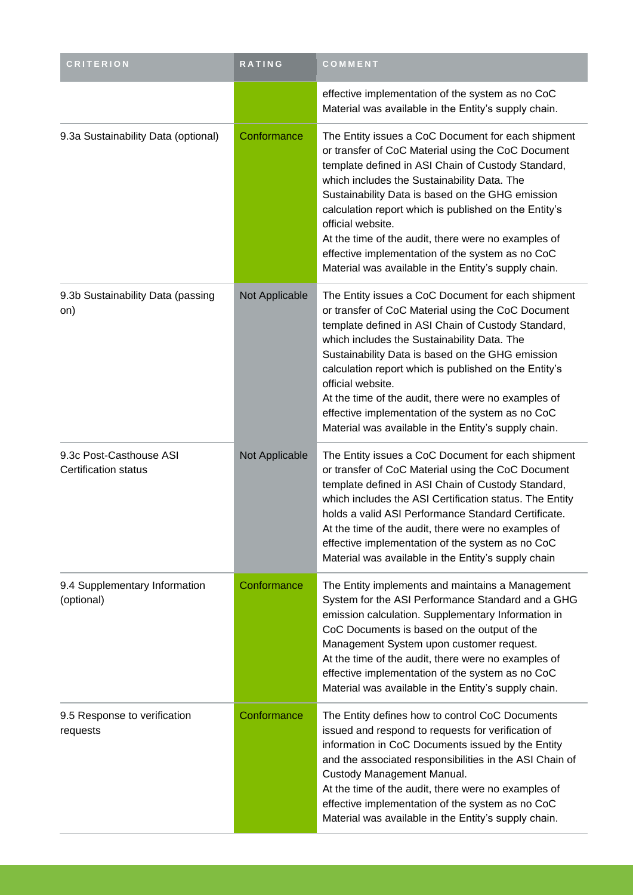| <b>CRITERION</b>                                       | RATING         | COMMENT                                                                                                                                                                                                                                                                                                                                                                                                                                                                                                            |
|--------------------------------------------------------|----------------|--------------------------------------------------------------------------------------------------------------------------------------------------------------------------------------------------------------------------------------------------------------------------------------------------------------------------------------------------------------------------------------------------------------------------------------------------------------------------------------------------------------------|
|                                                        |                | effective implementation of the system as no CoC<br>Material was available in the Entity's supply chain.                                                                                                                                                                                                                                                                                                                                                                                                           |
| 9.3a Sustainability Data (optional)                    | Conformance    | The Entity issues a CoC Document for each shipment<br>or transfer of CoC Material using the CoC Document<br>template defined in ASI Chain of Custody Standard,<br>which includes the Sustainability Data. The<br>Sustainability Data is based on the GHG emission<br>calculation report which is published on the Entity's<br>official website.<br>At the time of the audit, there were no examples of<br>effective implementation of the system as no CoC<br>Material was available in the Entity's supply chain. |
| 9.3b Sustainability Data (passing<br>on)               | Not Applicable | The Entity issues a CoC Document for each shipment<br>or transfer of CoC Material using the CoC Document<br>template defined in ASI Chain of Custody Standard,<br>which includes the Sustainability Data. The<br>Sustainability Data is based on the GHG emission<br>calculation report which is published on the Entity's<br>official website.<br>At the time of the audit, there were no examples of<br>effective implementation of the system as no CoC<br>Material was available in the Entity's supply chain. |
| 9.3c Post-Casthouse ASI<br><b>Certification status</b> | Not Applicable | The Entity issues a CoC Document for each shipment<br>or transfer of CoC Material using the CoC Document<br>template defined in ASI Chain of Custody Standard,<br>which includes the ASI Certification status. The Entity<br>holds a valid ASI Performance Standard Certificate.<br>At the time of the audit, there were no examples of<br>effective implementation of the system as no CoC<br>Material was available in the Entity's supply chain                                                                 |
| 9.4 Supplementary Information<br>(optional)            | Conformance    | The Entity implements and maintains a Management<br>System for the ASI Performance Standard and a GHG<br>emission calculation. Supplementary Information in<br>CoC Documents is based on the output of the<br>Management System upon customer request.<br>At the time of the audit, there were no examples of<br>effective implementation of the system as no CoC<br>Material was available in the Entity's supply chain.                                                                                          |
| 9.5 Response to verification<br>requests               | Conformance    | The Entity defines how to control CoC Documents<br>issued and respond to requests for verification of<br>information in CoC Documents issued by the Entity<br>and the associated responsibilities in the ASI Chain of<br>Custody Management Manual.<br>At the time of the audit, there were no examples of<br>effective implementation of the system as no CoC<br>Material was available in the Entity's supply chain.                                                                                             |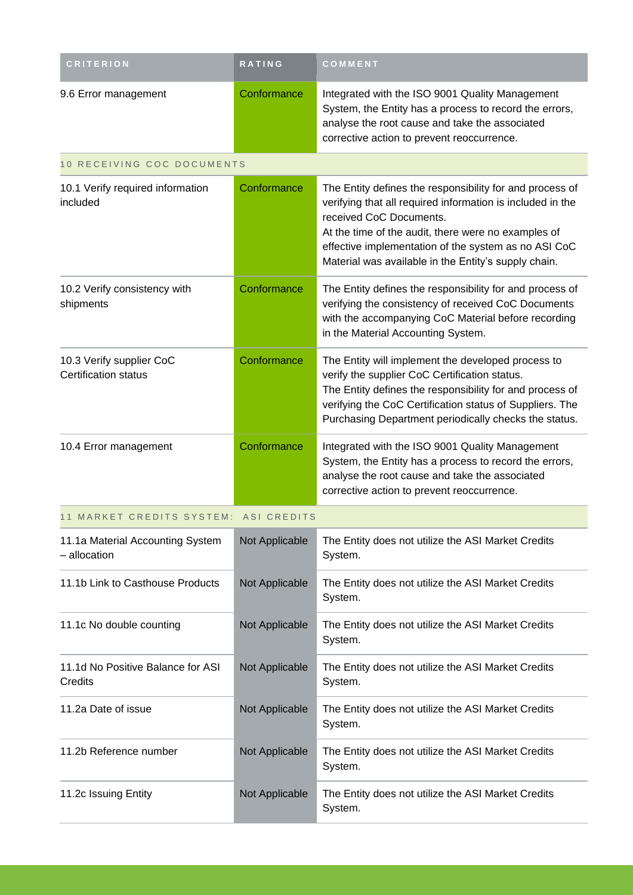| <b>CRITERION</b>                                        | RATING         | COMMENT                                                                                                                                                                                                                                                                                                                  |
|---------------------------------------------------------|----------------|--------------------------------------------------------------------------------------------------------------------------------------------------------------------------------------------------------------------------------------------------------------------------------------------------------------------------|
| 9.6 Error management                                    | Conformance    | Integrated with the ISO 9001 Quality Management<br>System, the Entity has a process to record the errors,<br>analyse the root cause and take the associated<br>corrective action to prevent reoccurrence.                                                                                                                |
| 10 RECEIVING COC DOCUMENTS                              |                |                                                                                                                                                                                                                                                                                                                          |
| 10.1 Verify required information<br>included            | Conformance    | The Entity defines the responsibility for and process of<br>verifying that all required information is included in the<br>received CoC Documents.<br>At the time of the audit, there were no examples of<br>effective implementation of the system as no ASI CoC<br>Material was available in the Entity's supply chain. |
| 10.2 Verify consistency with<br>shipments               | Conformance    | The Entity defines the responsibility for and process of<br>verifying the consistency of received CoC Documents<br>with the accompanying CoC Material before recording<br>in the Material Accounting System.                                                                                                             |
| 10.3 Verify supplier CoC<br><b>Certification status</b> | Conformance    | The Entity will implement the developed process to<br>verify the supplier CoC Certification status.<br>The Entity defines the responsibility for and process of<br>verifying the CoC Certification status of Suppliers. The<br>Purchasing Department periodically checks the status.                                     |
| 10.4 Error management                                   | Conformance    | Integrated with the ISO 9001 Quality Management<br>System, the Entity has a process to record the errors,<br>analyse the root cause and take the associated<br>corrective action to prevent reoccurrence.                                                                                                                |
| 11 MARKET CREDITS SYSTEM: ASI CREDITS                   |                |                                                                                                                                                                                                                                                                                                                          |
| 11.1a Material Accounting System<br>- allocation        | Not Applicable | The Entity does not utilize the ASI Market Credits<br>System.                                                                                                                                                                                                                                                            |
| 11.1b Link to Casthouse Products                        | Not Applicable | The Entity does not utilize the ASI Market Credits<br>System.                                                                                                                                                                                                                                                            |
| 11.1c No double counting                                | Not Applicable | The Entity does not utilize the ASI Market Credits<br>System.                                                                                                                                                                                                                                                            |
| 11.1d No Positive Balance for ASI<br>Credits            | Not Applicable | The Entity does not utilize the ASI Market Credits<br>System.                                                                                                                                                                                                                                                            |
| 11.2a Date of issue                                     | Not Applicable | The Entity does not utilize the ASI Market Credits<br>System.                                                                                                                                                                                                                                                            |
| 11.2b Reference number                                  | Not Applicable | The Entity does not utilize the ASI Market Credits<br>System.                                                                                                                                                                                                                                                            |
| 11.2c Issuing Entity                                    | Not Applicable | The Entity does not utilize the ASI Market Credits<br>System.                                                                                                                                                                                                                                                            |